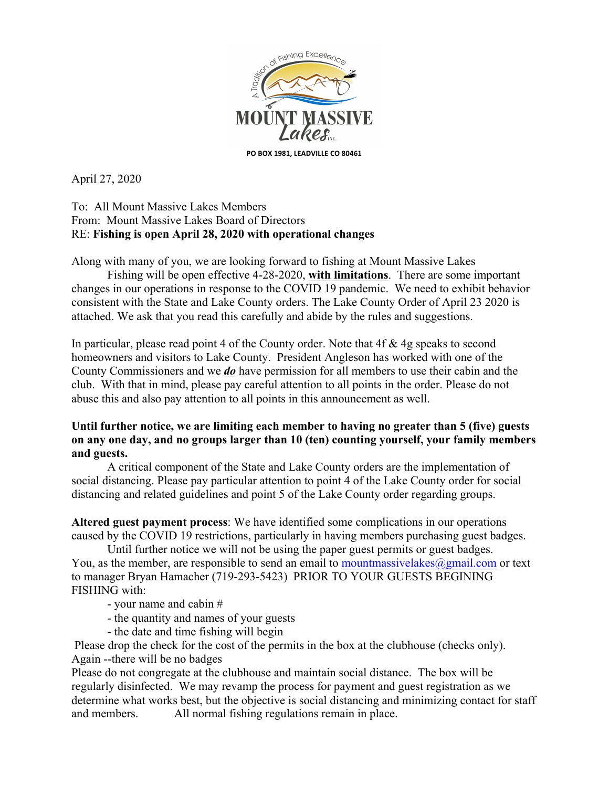

April 27, 2020

## To: All Mount Massive Lakes Members From: Mount Massive Lakes Board of Directors RE: **Fishing is open April 28, 2020 with operational changes**

Along with many of you, we are looking forward to fishing at Mount Massive Lakes

Fishing will be open effective 4-28-2020, **with limitations**. There are some important changes in our operations in response to the COVID 19 pandemic. We need to exhibit behavior consistent with the State and Lake County orders. The Lake County Order of April 23 2020 is attached. We ask that you read this carefully and abide by the rules and suggestions.

In particular, please read point 4 of the County order. Note that 4f & 4g speaks to second homeowners and visitors to Lake County. President Angleson has worked with one of the County Commissioners and we *do* have permission for all members to use their cabin and the club. With that in mind, please pay careful attention to all points in the order. Please do not abuse this and also pay attention to all points in this announcement as well.

## **Until further notice, we are limiting each member to having no greater than 5 (five) guests on any one day, and no groups larger than 10 (ten) counting yourself, your family members and guests.**

A critical component of the State and Lake County orders are the implementation of social distancing. Please pay particular attention to point 4 of the Lake County order for social distancing and related guidelines and point 5 of the Lake County order regarding groups.

**Altered guest payment process**: We have identified some complications in our operations caused by the COVID 19 restrictions, particularly in having members purchasing guest badges.

Until further notice we will not be using the paper guest permits or guest badges. You, as the member, are responsible to send an email to mountmassivelakes $\omega$ gmail.com or text to manager Bryan Hamacher (719-293-5423) PRIOR TO YOUR GUESTS BEGINING FISHING with:

- your name and cabin #

- the quantity and names of your guests
- the date and time fishing will begin

Please drop the check for the cost of the permits in the box at the clubhouse (checks only). Again --there will be no badges

Please do not congregate at the clubhouse and maintain social distance. The box will be regularly disinfected. We may revamp the process for payment and guest registration as we determine what works best, but the objective is social distancing and minimizing contact for staff and members. All normal fishing regulations remain in place.